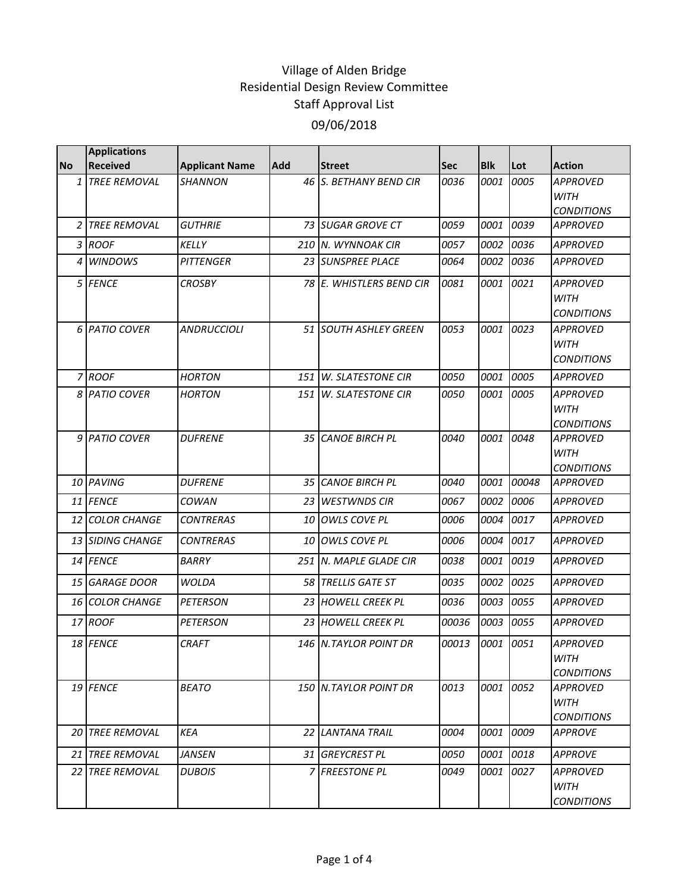|           | <b>Applications</b>     |                       |            |                           |             |            |       |                                                     |
|-----------|-------------------------|-----------------------|------------|---------------------------|-------------|------------|-------|-----------------------------------------------------|
| <b>No</b> | <b>Received</b>         | <b>Applicant Name</b> | <b>Add</b> | <b>Street</b>             | <b>Sec</b>  | <b>Blk</b> | Lot   | <b>Action</b>                                       |
|           | 1 TREE REMOVAL          | <i><b>SHANNON</b></i> |            | 46 S. BETHANY BEND CIR    | 0036        | 0001       | 0005  | <b>APPROVED</b><br><b>WITH</b><br><b>CONDITIONS</b> |
|           | 2 TREE REMOVAL          | <b>GUTHRIE</b>        |            | 73 SUGAR GROVE CT         | 0059        | 0001       | 0039  | <b>APPROVED</b>                                     |
|           | 3 ROOF                  | <b>KELLY</b>          |            | 210 N. WYNNOAK CIR        | 0057        | 0002       | 0036  | <b>APPROVED</b>                                     |
|           | 4 WINDOWS               | <b>PITTENGER</b>      |            | 23 SUNSPREE PLACE         | 0064        | 0002       | 0036  | <b>APPROVED</b>                                     |
|           | 5 FENCE                 | <b>CROSBY</b>         |            | 78 E. WHISTLERS BEND CIR  | 0081        | 0001       | 0021  | <b>APPROVED</b><br><b>WITH</b><br><b>CONDITIONS</b> |
|           | 6 PATIO COVER           | <b>ANDRUCCIOLI</b>    |            | 51 SOUTH ASHLEY GREEN     | 0053        | 0001       | 0023  | <b>APPROVED</b><br><b>WITH</b><br><b>CONDITIONS</b> |
|           | 7 ROOF                  | <b>HORTON</b>         | 151        | W. SLATESTONE CIR         | 0050        | 0001       | 0005  | <b>APPROVED</b>                                     |
|           | 8 PATIO COVER           | <b>HORTON</b>         | 151        | W. SLATESTONE CIR         | 0050        | 0001       | 0005  | <b>APPROVED</b><br><b>WITH</b><br><b>CONDITIONS</b> |
|           | 9 PATIO COVER           | <b>DUFRENE</b>        |            | 35 CANOE BIRCH PL         | 0040        | 0001       | 0048  | <b>APPROVED</b><br><b>WITH</b><br><b>CONDITIONS</b> |
|           | 10 PAVING               | <b>DUFRENE</b>        |            | 35 CANOE BIRCH PL         | 0040        | 0001       | 00048 | <b>APPROVED</b>                                     |
|           | 11 FENCE                | <b>COWAN</b>          | 23         | <b>WESTWNDS CIR</b>       | 0067        | 0002       | 0006  | <b>APPROVED</b>                                     |
|           | <b>12 COLOR CHANGE</b>  | <b>CONTRERAS</b>      | 10         | <b>OWLS COVE PL</b>       | <i>0006</i> | 0004       | 0017  | <b>APPROVED</b>                                     |
|           | <b>13 SIDING CHANGE</b> | <b>CONTRERAS</b>      |            | 10 OWLS COVE PL           | <i>0006</i> | 0004       | 0017  | <b>APPROVED</b>                                     |
|           | 14 FENCE                | BARRY                 | 251        | <b>N. MAPLE GLADE CIR</b> | 0038        | 0001       | 0019  | <b>APPROVED</b>                                     |
|           | 15 GARAGE DOOR          | <b>WOLDA</b>          |            | 58 TRELLIS GATE ST        | 0035        | 0002       | 0025  | <b>APPROVED</b>                                     |
|           | 16 COLOR CHANGE         | <b>PETERSON</b>       |            | 23 HOWELL CREEK PL        | 0036        | 0003       | 0055  | <b>APPROVED</b>                                     |
|           | 17 ROOF                 | <b>PETERSON</b>       |            | 23 HOWELL CREEK PL        | 00036       | 0003       | 0055  | <b>APPROVED</b>                                     |
|           | 18 FENCE                | CRAFT                 |            | 146 N.TAYLOR POINT DR     | 00013       | 0001       | 0051  | <b>APPROVED</b><br><b>WITH</b><br><b>CONDITIONS</b> |
|           | 19 FENCE                | <b>BEATO</b>          |            | 150 N.TAYLOR POINT DR     | 0013        | 0001       | 0052  | <b>APPROVED</b><br>WITH<br><b>CONDITIONS</b>        |
|           | 20 TREE REMOVAL         | <b>KEA</b>            |            | 22 LANTANA TRAIL          | 0004        | 0001       | 0009  | <b>APPROVE</b>                                      |
|           | 21 TREE REMOVAL         | JANSEN                |            | 31 GREYCREST PL           | 0050        | 0001       | 0018  | <b>APPROVE</b>                                      |
|           | 22 TREE REMOVAL         | <b>DUBOIS</b>         |            | 7 FREESTONE PL            | 0049        | 0001       | 0027  | <b>APPROVED</b><br>WITH<br><b>CONDITIONS</b>        |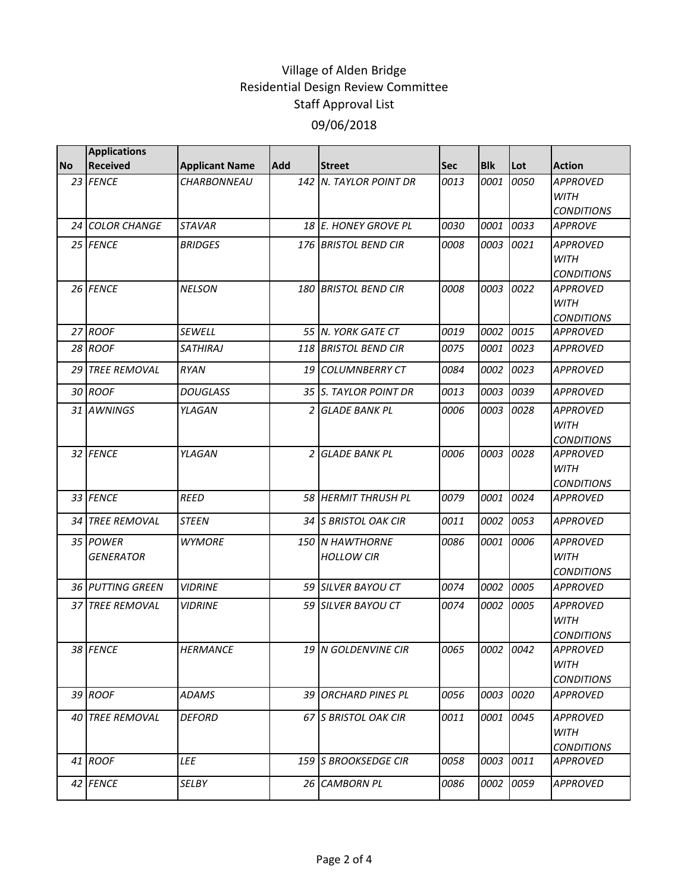|           | <b>Applications</b> |                       |     |                              |      |               |      |                                      |
|-----------|---------------------|-----------------------|-----|------------------------------|------|---------------|------|--------------------------------------|
| <b>No</b> | <b>Received</b>     | <b>Applicant Name</b> | Add | <b>Street</b>                | Sec  | <b>Blk</b>    | Lot  | <b>Action</b>                        |
|           | 23 FENCE            | CHARBONNEAU           | 142 | <b>N. TAYLOR POINT DR</b>    | 0013 | 0001          | 0050 | <b>APPROVED</b><br><b>WITH</b>       |
|           |                     |                       |     |                              |      |               |      | <b>CONDITIONS</b>                    |
|           | 24 COLOR CHANGE     | <b>STAVAR</b>         |     | 18 E. HONEY GROVE PL         | 0030 | 0001          | 0033 | <b>APPROVE</b>                       |
|           | 25 FENCE            | <b>BRIDGES</b>        |     | 176 BRISTOL BEND CIR         | 0008 | 0003          | 0021 | <b>APPROVED</b>                      |
|           |                     |                       |     |                              |      |               |      | <b>WITH</b>                          |
|           |                     |                       |     |                              |      |               |      | <b>CONDITIONS</b>                    |
|           | 26 FENCE            | <b>NELSON</b>         |     | 180 BRISTOL BEND CIR         | 0008 | 0003          | 0022 | <b>APPROVED</b>                      |
|           |                     |                       |     |                              |      |               |      | <b>WITH</b>                          |
|           | 27 ROOF             | <b>SEWELL</b>         |     | 55 N. YORK GATE CT           | 0019 | 0002          | 0015 | <b>CONDITIONS</b>                    |
|           | 28 ROOF             | <b>SATHIRAJ</b>       |     |                              |      |               |      | <b>APPROVED</b>                      |
|           |                     |                       |     | 118 BRISTOL BEND CIR         | 0075 | 0001          | 0023 | <b>APPROVED</b>                      |
|           | 29 TREE REMOVAL     | <b>RYAN</b>           |     | 19 COLUMNBERRY CT            | 0084 | 0002          | 0023 | <b>APPROVED</b>                      |
|           | 30 ROOF             | <b>DOUGLASS</b>       |     | 35 S. TAYLOR POINT DR        | 0013 | 0003          | 0039 | <b>APPROVED</b>                      |
|           | 31 AWNINGS          | YLAGAN                | 2   | <b>GLADE BANK PL</b>         | 0006 | 0003          | 0028 | <b>APPROVED</b>                      |
|           |                     |                       |     |                              |      |               |      | <b>WITH</b>                          |
|           | 32 FENCE            | YLAGAN                | 2   | <b>GLADE BANK PL</b>         | 0006 | 0003          | 0028 | <b>CONDITIONS</b><br><b>APPROVED</b> |
|           |                     |                       |     |                              |      |               |      | <b>WITH</b>                          |
|           |                     |                       |     |                              |      |               |      | <b>CONDITIONS</b>                    |
|           | 33 FENCE            | REED                  |     | 58 HERMIT THRUSH PL          | 0079 | 0001          | 0024 | <b>APPROVED</b>                      |
|           | 34 TREE REMOVAL     | <b>STEEN</b>          |     | 34 S BRISTOL OAK CIR         | 0011 | 0002          | 0053 | <b>APPROVED</b>                      |
|           | 35 POWER            | <b>WYMORE</b>         |     | 150 N HAWTHORNE              | 0086 | 0001          | 0006 | <b>APPROVED</b>                      |
|           | <b>GENERATOR</b>    |                       |     | <b>HOLLOW CIR</b>            |      |               |      | <b>WITH</b>                          |
|           |                     |                       |     |                              |      |               |      | <b>CONDITIONS</b>                    |
|           | 36 PUTTING GREEN    | <b>VIDRINE</b>        |     | 59 SILVER BAYOU CT           | 0074 | 0002          | 0005 | <b>APPROVED</b>                      |
|           | 37 TREE REMOVAL     | <b>VIDRINE</b>        |     | 59 SILVER BAYOU CT           | 0074 | 0002          | 0005 | <b>APPROVED</b>                      |
|           |                     |                       |     |                              |      |               |      | <b>WITH</b>                          |
|           |                     |                       |     |                              |      |               |      | <b>CONDITIONS</b>                    |
|           | 38 FENCE            | <b>HERMANCE</b>       |     | 19 N GOLDENVINE CIR          | 0065 | $0002$ $0042$ |      | <b>APPROVED</b>                      |
|           |                     |                       |     |                              |      |               |      | <b>WITH</b><br><b>CONDITIONS</b>     |
|           | 39 ROOF             | ADAMS                 |     | 39 ORCHARD PINES PL          | 0056 | 0003          | 0020 | <b>APPROVED</b>                      |
|           |                     |                       |     |                              |      |               |      |                                      |
|           | 40 TREE REMOVAL     | <b>DEFORD</b>         |     | 67 S BRISTOL OAK CIR         | 0011 | 0001          | 0045 | <b>APPROVED</b>                      |
|           |                     |                       |     |                              |      |               |      | <b>WITH</b>                          |
|           | 41 ROOF             | <b>LEE</b>            |     | <b>159 IS BROOKSEDGE CIR</b> | 0058 | 0003          | 0011 | <b>CONDITIONS</b><br><b>APPROVED</b> |
|           |                     |                       |     |                              |      |               |      |                                      |
|           | 42 FENCE            | <b>SELBY</b>          |     | 26 CAMBORN PL                | 0086 | 0002          | 0059 | <b>APPROVED</b>                      |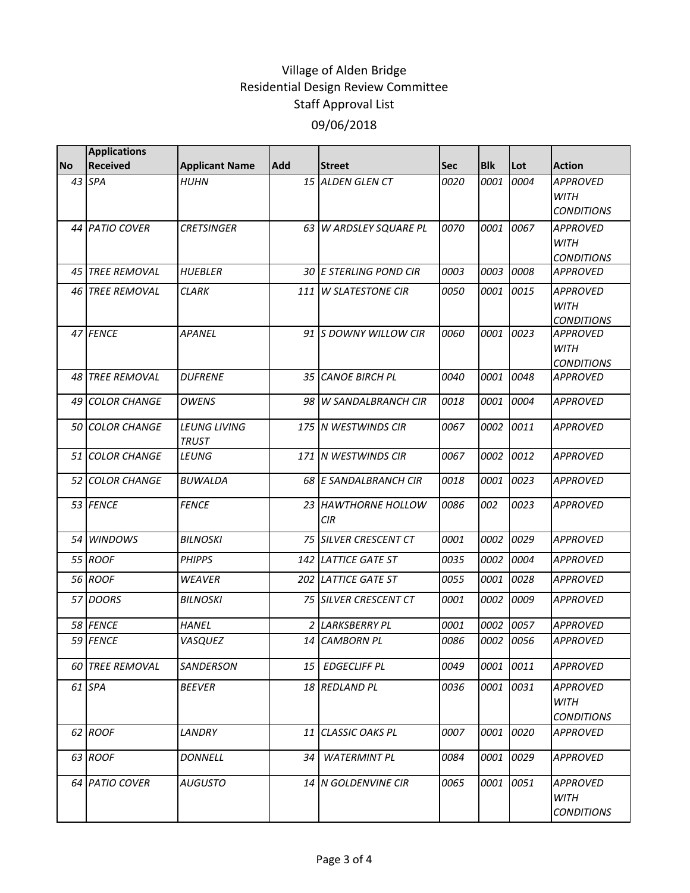|           | <b>Applications</b>    |                                     |     |                              |             |            |      |                                                     |
|-----------|------------------------|-------------------------------------|-----|------------------------------|-------------|------------|------|-----------------------------------------------------|
| <b>No</b> | <b>Received</b>        | <b>Applicant Name</b>               | Add | <b>Street</b>                | <b>Sec</b>  | <b>Blk</b> | Lot  | <b>Action</b>                                       |
|           | 43 SPA                 | <b>HUHN</b>                         |     | 15 ALDEN GLEN CT             | 0020        | 0001       | 0004 | <b>APPROVED</b><br><b>WITH</b><br><b>CONDITIONS</b> |
|           | 44 PATIO COVER         | <b>CRETSINGER</b>                   |     | 63 W ARDSLEY SQUARE PL       | 0070        | 0001       | 0067 | <b>APPROVED</b><br><b>WITH</b><br><b>CONDITIONS</b> |
|           | 45 TREE REMOVAL        | <b>HUEBLER</b>                      |     | 30 E STERLING POND CIR       | 0003        | 0003       | 0008 | <b>APPROVED</b>                                     |
|           | <b>46 TREE REMOVAL</b> | <b>CLARK</b>                        | 111 | <b>W SLATESTONE CIR</b>      | <i>0050</i> | 0001       | 0015 | <b>APPROVED</b><br><b>WITH</b><br><b>CONDITIONS</b> |
|           | 47 FENCE               | <b>APANEL</b>                       |     | 91 S DOWNY WILLOW CIR        | 0060        | 0001       | 0023 | <b>APPROVED</b><br><b>WITH</b><br><b>CONDITIONS</b> |
|           | <b>48 TREE REMOVAL</b> | <b>DUFRENE</b>                      |     | 35 CANOE BIRCH PL            | 0040        | 0001       | 0048 | <b>APPROVED</b>                                     |
| 49        | <b>COLOR CHANGE</b>    | <b>OWENS</b>                        |     | 98 W SANDALBRANCH CIR        | 0018        | 0001       | 0004 | <b>APPROVED</b>                                     |
|           | 50 COLOR CHANGE        | <b>LEUNG LIVING</b><br><b>TRUST</b> |     | 175 N WESTWINDS CIR          | 0067        | 0002       | 0011 | <b>APPROVED</b>                                     |
|           | 51 COLOR CHANGE        | LEUNG                               |     | 171 N WESTWINDS CIR          | 0067        | 0002       | 0012 | <b>APPROVED</b>                                     |
|           | <b>52 COLOR CHANGE</b> | BUWALDA                             |     | <b>68 E SANDALBRANCH CIR</b> | 0018        | 0001       | 0023 | <b>APPROVED</b>                                     |
|           | 53 FENCE               | <b>FENCE</b>                        |     | 23 HAWTHORNE HOLLOW<br>CIR   | 0086        | 002        | 0023 | <b>APPROVED</b>                                     |
|           | 54 WINDOWS             | <b>BILNOSKI</b>                     |     | <b>75 SILVER CRESCENT CT</b> | 0001        | 0002       | 0029 | <b>APPROVED</b>                                     |
|           | 55 ROOF                | <b>PHIPPS</b>                       |     | 142 LATTICE GATE ST          | 0035        | 0002       | 0004 | <b>APPROVED</b>                                     |
|           | 56 ROOF                | <b>WEAVER</b>                       |     | 202 LATTICE GATE ST          | 0055        | 0001       | 0028 | APPROVED                                            |
|           | 57 DOORS               | <b>BILNOSKI</b>                     |     | <b>75 SILVER CRESCENT CT</b> | 0001        | 0002       | 0009 | <b>APPROVED</b>                                     |
|           | 58 FENCE               | <b>HANEL</b>                        |     | 2 LARKSBERRY PL              | 0001        | 0002       | 0057 | <b>APPROVED</b>                                     |
|           | 59 FENCE               | VASQUEZ                             |     | 14 CAMBORN PL                | 0086        | 0002       | 0056 | <b>APPROVED</b>                                     |
|           | 60 TREE REMOVAL        | SANDERSON                           | 15  | <b>EDGECLIFF PL</b>          | 0049        | 0001       | 0011 | APPROVED                                            |
|           | 61 SPA                 | <b>BEEVER</b>                       |     | 18 REDLAND PL                | 0036        | 0001       | 0031 | <b>APPROVED</b><br><b>WITH</b><br><b>CONDITIONS</b> |
|           | 62 ROOF                | <b>LANDRY</b>                       | 11  | CLASSIC OAKS PL              | 0007        | 0001       | 0020 | <b>APPROVED</b>                                     |
|           | 63 ROOF                | DONNELL                             | 34  | <b>WATERMINT PL</b>          | 0084        | 0001       | 0029 | <b>APPROVED</b>                                     |
|           | 64 PATIO COVER         | <b>AUGUSTO</b>                      |     | 14 N GOLDENVINE CIR          | 0065        | 0001       | 0051 | <b>APPROVED</b><br><b>WITH</b><br><b>CONDITIONS</b> |